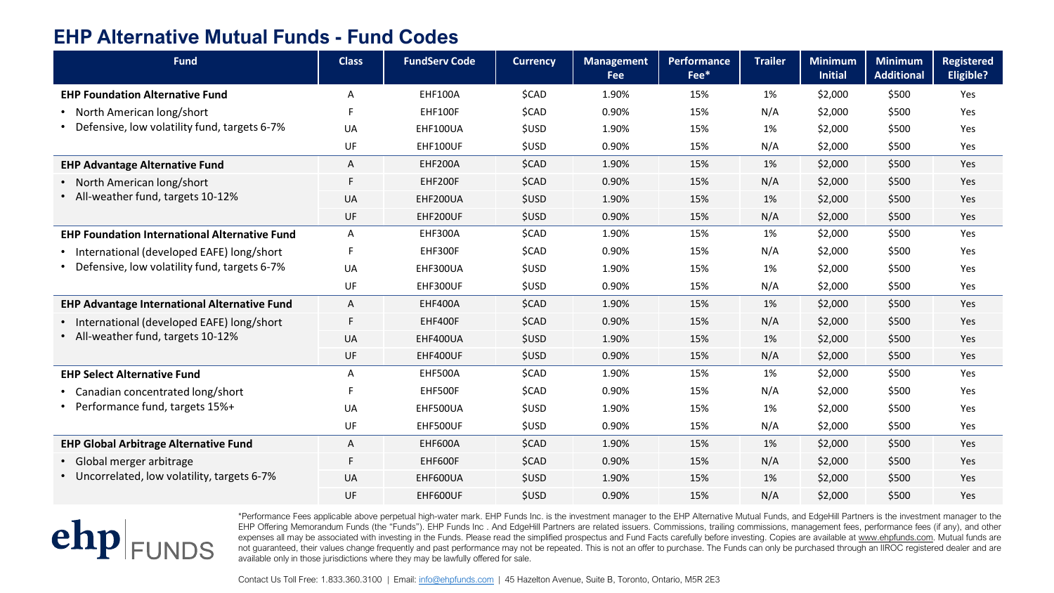## **EHP Alternative Mutual Funds - Fund Codes**

| <b>Fund</b>                                                                               | <b>Class</b> | <b>FundServ Code</b> | <b>Currency</b> | <b>Management</b><br><b>Fee</b> | Performance<br>Fee* | <b>Trailer</b> | <b>Minimum</b><br><b>Initial</b> | <b>Minimum</b><br><b>Additional</b> | <b>Registered</b><br><b>Eligible?</b> |
|-------------------------------------------------------------------------------------------|--------------|----------------------|-----------------|---------------------------------|---------------------|----------------|----------------------------------|-------------------------------------|---------------------------------------|
| <b>EHP Foundation Alternative Fund</b>                                                    | A            | <b>EHF100A</b>       | \$CAD           | 1.90%                           | 15%                 | 1%             | \$2,000                          | \$500                               | Yes                                   |
| North American long/short<br>Defensive, low volatility fund, targets 6-7%                 | F            | EHF100F              | \$CAD           | 0.90%                           | 15%                 | N/A            | \$2,000                          | \$500                               | Yes                                   |
|                                                                                           | UA           | EHF100UA             | \$USD           | 1.90%                           | 15%                 | 1%             | \$2,000                          | \$500                               | Yes                                   |
|                                                                                           | UF           | EHF100UF             | <b>\$USD</b>    | 0.90%                           | 15%                 | N/A            | \$2,000                          | \$500                               | Yes                                   |
| <b>EHP Advantage Alternative Fund</b>                                                     | A            | EHF200A              | \$CAD           | 1.90%                           | 15%                 | 1%             | \$2,000                          | \$500                               | Yes                                   |
| • North American long/short<br>• All-weather fund, targets 10-12%                         | F            | EHF200F              | \$CAD           | 0.90%                           | 15%                 | N/A            | \$2,000                          | \$500                               | Yes                                   |
|                                                                                           | UA           | EHF200UA             | <b>\$USD</b>    | 1.90%                           | 15%                 | 1%             | \$2,000                          | \$500                               | Yes                                   |
|                                                                                           | UF           | EHF200UF             | <b>\$USD</b>    | 0.90%                           | 15%                 | N/A            | \$2,000                          | \$500                               | Yes                                   |
| <b>EHP Foundation International Alternative Fund</b>                                      | A            | <b>EHF300A</b>       | \$CAD           | 1.90%                           | 15%                 | 1%             | \$2,000                          | \$500                               | Yes                                   |
| International (developed EAFE) long/short<br>Defensive, low volatility fund, targets 6-7% |              | EHF300F              | \$CAD           | 0.90%                           | 15%                 | N/A            | \$2,000                          | \$500                               | Yes                                   |
|                                                                                           | UA           | EHF300UA             | <b>\$USD</b>    | 1.90%                           | 15%                 | 1%             | \$2,000                          | \$500                               | Yes                                   |
|                                                                                           | UF           | EHF300UF             | <b>\$USD</b>    | 0.90%                           | 15%                 | N/A            | \$2,000                          | \$500                               | Yes                                   |
| <b>EHP Advantage International Alternative Fund</b>                                       | A            | <b>EHF400A</b>       | \$CAD           | 1.90%                           | 15%                 | 1%             | \$2,000                          | \$500                               | Yes                                   |
| • International (developed EAFE) long/short<br>• All-weather fund, targets 10-12%         | F            | EHF400F              | \$CAD           | 0.90%                           | 15%                 | N/A            | \$2,000                          | \$500                               | Yes                                   |
|                                                                                           | <b>UA</b>    | EHF400UA             | <b>\$USD</b>    | 1.90%                           | 15%                 | 1%             | \$2,000                          | \$500                               | Yes                                   |
|                                                                                           | UF           | EHF400UF             | <b>\$USD</b>    | 0.90%                           | 15%                 | N/A            | \$2,000                          | \$500                               | Yes                                   |
| <b>EHP Select Alternative Fund</b>                                                        | Α            | EHF500A              | \$CAD           | 1.90%                           | 15%                 | 1%             | \$2,000                          | \$500                               | Yes                                   |
| • Canadian concentrated long/short<br>Performance fund, targets 15%+                      |              | EHF500F              | \$CAD           | 0.90%                           | 15%                 | N/A            | \$2,000                          | \$500                               | Yes                                   |
|                                                                                           | UA           | EHF500UA             | \$USD           | 1.90%                           | 15%                 | 1%             | \$2,000                          | \$500                               | Yes                                   |
|                                                                                           | UF           | EHF500UF             | <b>\$USD</b>    | 0.90%                           | 15%                 | N/A            | \$2,000                          | \$500                               | Yes                                   |
| <b>EHP Global Arbitrage Alternative Fund</b>                                              | A            | <b>EHF600A</b>       | \$CAD           | 1.90%                           | 15%                 | 1%             | \$2,000                          | \$500                               | Yes                                   |
| • Global merger arbitrage<br>• Uncorrelated, low volatility, targets 6-7%                 | F            | EHF600F              | \$CAD           | 0.90%                           | 15%                 | N/A            | \$2,000                          | \$500                               | Yes                                   |
|                                                                                           | UA           | EHF600UA             | \$USD           | 1.90%                           | 15%                 | 1%             | \$2,000                          | \$500                               | Yes                                   |
|                                                                                           | UF           | EHF600UF             | <b>\$USD</b>    | 0.90%                           | 15%                 | N/A            | \$2,000                          | \$500                               | Yes                                   |

## $ehp|_{\text{FUNDS}}$

\*Performance Fees applicable above perpetual high-water mark. EHP Funds Inc. is the investment manager to the EHP Alternative Mutual Funds, and EdgeHill Partners is the investment manager to the EHP Offering Memorandum Funds (the "Funds"). EHP Funds Inc . And EdgeHill Partners are related issuers. Commissions, trailing commissions, management fees, performance fees (if any), and other expenses all may be associated with investing in the Funds. Please read the simplified prospectus and Fund Facts carefully before investing. Copies are available at [www.ehpfunds.com.](http://www.ehpfunds.com/) Mutual funds are not guaranteed, their values change frequently and past performance may not be repeated. This is not an offer to purchase. The Funds can only be purchased through an IIROC registered dealer and are available only in those jurisdictions where they may be lawfully offered for sale.

Contact Us Toll Free: 1.833.360.3100 | Email: [info@ehpfunds.com](mailto:info@ehpfunds.com) | 45 Hazelton Avenue, Suite B, Toronto, Ontario, M5R 2E3